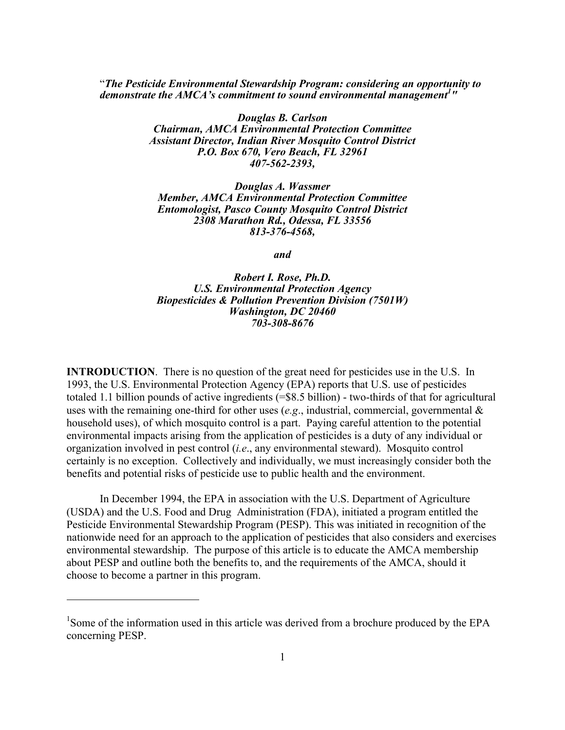"*The Pesticide Environmental Stewardship Program: considering an opportunity to demonstrate the AMCA's commitment to sound environmental management<sup>1</sup> "*

> *Douglas B. Carlson Chairman, AMCA Environmental Protection Committee Assistant Director, Indian River Mosquito Control District P.O. Box 670, Vero Beach, FL 32961 407-562-2393,*

*Douglas A. Wassmer Member, AMCA Environmental Protection Committee Entomologist, Pasco County Mosquito Control District 2308 Marathon Rd., Odessa, FL 33556 813-376-4568,*

*and*

*Robert I. Rose, Ph.D. U.S. Environmental Protection Agency Biopesticides & Pollution Prevention Division (7501W) Washington, DC 20460 703-308-8676*

**INTRODUCTION**. There is no question of the great need for pesticides use in the U.S. In 1993, the U.S. Environmental Protection Agency (EPA) reports that U.S. use of pesticides totaled 1.1 billion pounds of active ingredients (=\$8.5 billion) - two-thirds of that for agricultural uses with the remaining one-third for other uses (*e.g*., industrial, commercial, governmental & household uses), of which mosquito control is a part. Paying careful attention to the potential environmental impacts arising from the application of pesticides is a duty of any individual or organization involved in pest control (*i.e*., any environmental steward). Mosquito control certainly is no exception. Collectively and individually, we must increasingly consider both the benefits and potential risks of pesticide use to public health and the environment.

In December 1994, the EPA in association with the U.S. Department of Agriculture (USDA) and the U.S. Food and Drug Administration (FDA), initiated a program entitled the Pesticide Environmental Stewardship Program (PESP). This was initiated in recognition of the nationwide need for an approach to the application of pesticides that also considers and exercises environmental stewardship. The purpose of this article is to educate the AMCA membership about PESP and outline both the benefits to, and the requirements of the AMCA, should it choose to become a partner in this program.

 $\overline{a}$ 

<sup>&</sup>lt;sup>1</sup>Some of the information used in this article was derived from a brochure produced by the EPA concerning PESP.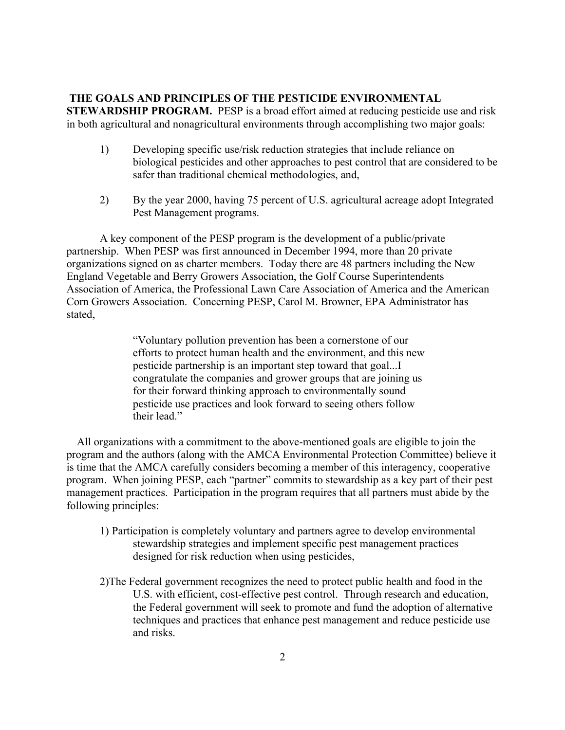## **THE GOALS AND PRINCIPLES OF THE PESTICIDE ENVIRONMENTAL**

**STEWARDSHIP PROGRAM.** PESP is a broad effort aimed at reducing pesticide use and risk in both agricultural and nonagricultural environments through accomplishing two major goals:

- 1) Developing specific use/risk reduction strategies that include reliance on biological pesticides and other approaches to pest control that are considered to be safer than traditional chemical methodologies, and,
- 2) By the year 2000, having 75 percent of U.S. agricultural acreage adopt Integrated Pest Management programs.

A key component of the PESP program is the development of a public/private partnership. When PESP was first announced in December 1994, more than 20 private organizations signed on as charter members. Today there are 48 partners including the New England Vegetable and Berry Growers Association, the Golf Course Superintendents Association of America, the Professional Lawn Care Association of America and the American Corn Growers Association. Concerning PESP, Carol M. Browner, EPA Administrator has stated,

> "Voluntary pollution prevention has been a cornerstone of our efforts to protect human health and the environment, and this new pesticide partnership is an important step toward that goal...I congratulate the companies and grower groups that are joining us for their forward thinking approach to environmentally sound pesticide use practices and look forward to seeing others follow their lead."

All organizations with a commitment to the above-mentioned goals are eligible to join the program and the authors (along with the AMCA Environmental Protection Committee) believe it is time that the AMCA carefully considers becoming a member of this interagency, cooperative program. When joining PESP, each "partner" commits to stewardship as a key part of their pest management practices. Participation in the program requires that all partners must abide by the following principles:

- 1) Participation is completely voluntary and partners agree to develop environmental stewardship strategies and implement specific pest management practices designed for risk reduction when using pesticides,
- 2)The Federal government recognizes the need to protect public health and food in the U.S. with efficient, cost-effective pest control. Through research and education, the Federal government will seek to promote and fund the adoption of alternative techniques and practices that enhance pest management and reduce pesticide use and risks.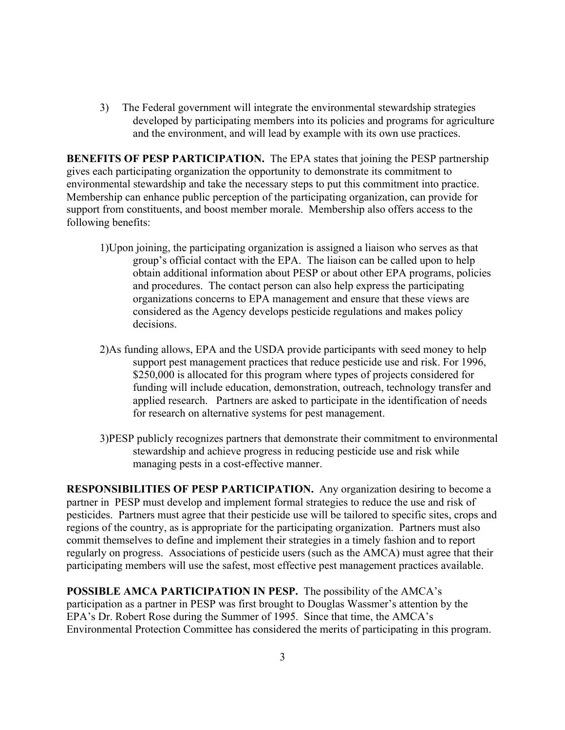3) The Federal government will integrate the environmental stewardship strategies developed by participating members into its policies and programs for agriculture and the environment, and will lead by example with its own use practices.

**BENEFITS OF PESP PARTICIPATION.** The EPA states that joining the PESP partnership gives each participating organization the opportunity to demonstrate its commitment to environmental stewardship and take the necessary steps to put this commitment into practice. Membership can enhance public perception of the participating organization, can provide for support from constituents, and boost member morale. Membership also offers access to the following benefits:

- 1)Upon joining, the participating organization is assigned a liaison who serves as that group's official contact with the EPA. The liaison can be called upon to help obtain additional information about PESP or about other EPA programs, policies and procedures. The contact person can also help express the participating organizations concerns to EPA management and ensure that these views are considered as the Agency develops pesticide regulations and makes policy decisions.
- 2)As funding allows, EPA and the USDA provide participants with seed money to help support pest management practices that reduce pesticide use and risk. For 1996, \$250,000 is allocated for this program where types of projects considered for funding will include education, demonstration, outreach, technology transfer and applied research. Partners are asked to participate in the identification of needs for research on alternative systems for pest management.
- 3)PESP publicly recognizes partners that demonstrate their commitment to environmental stewardship and achieve progress in reducing pesticide use and risk while managing pests in a cost-effective manner.

**RESPONSIBILITIES OF PESP PARTICIPATION.** Any organization desiring to become a partner in PESP must develop and implement formal strategies to reduce the use and risk of pesticides. Partners must agree that their pesticide use will be tailored to specific sites, crops and regions of the country, as is appropriate for the participating organization. Partners must also commit themselves to define and implement their strategies in a timely fashion and to report regularly on progress. Associations of pesticide users (such as the AMCA) must agree that their participating members will use the safest, most effective pest management practices available.

**POSSIBLE AMCA PARTICIPATION IN PESP.** The possibility of the AMCA's participation as a partner in PESP was first brought to Douglas Wassmer's attention by the EPA's Dr. Robert Rose during the Summer of 1995. Since that time, the AMCA's Environmental Protection Committee has considered the merits of participating in this program.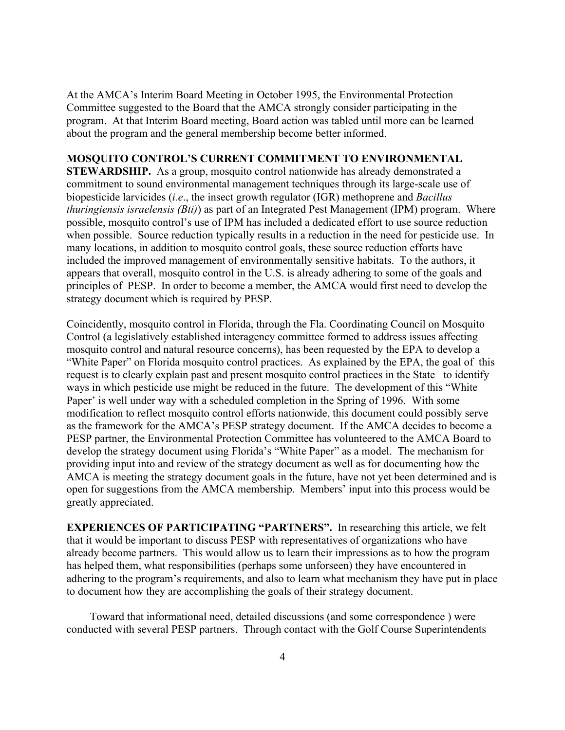At the AMCA's Interim Board Meeting in October 1995, the Environmental Protection Committee suggested to the Board that the AMCA strongly consider participating in the program. At that Interim Board meeting, Board action was tabled until more can be learned about the program and the general membership become better informed.

## **MOSQUITO CONTROL'S CURRENT COMMITMENT TO ENVIRONMENTAL**

**STEWARDSHIP.** As a group, mosquito control nationwide has already demonstrated a commitment to sound environmental management techniques through its large-scale use of biopesticide larvicides (*i.e*., the insect growth regulator (IGR) methoprene and *Bacillus thuringiensis israelensis (Bti)*) as part of an Integrated Pest Management (IPM) program. Where possible, mosquito control's use of IPM has included a dedicated effort to use source reduction when possible. Source reduction typically results in a reduction in the need for pesticide use. In many locations, in addition to mosquito control goals, these source reduction efforts have included the improved management of environmentally sensitive habitats. To the authors, it appears that overall, mosquito control in the U.S. is already adhering to some of the goals and principles of PESP. In order to become a member, the AMCA would first need to develop the strategy document which is required by PESP.

Coincidently, mosquito control in Florida, through the Fla. Coordinating Council on Mosquito Control (a legislatively established interagency committee formed to address issues affecting mosquito control and natural resource concerns), has been requested by the EPA to develop a "White Paper" on Florida mosquito control practices. As explained by the EPA, the goal of this request is to clearly explain past and present mosquito control practices in the State to identify ways in which pesticide use might be reduced in the future. The development of this "White Paper' is well under way with a scheduled completion in the Spring of 1996. With some modification to reflect mosquito control efforts nationwide, this document could possibly serve as the framework for the AMCA's PESP strategy document. If the AMCA decides to become a PESP partner, the Environmental Protection Committee has volunteered to the AMCA Board to develop the strategy document using Florida's "White Paper" as a model. The mechanism for providing input into and review of the strategy document as well as for documenting how the AMCA is meeting the strategy document goals in the future, have not yet been determined and is open for suggestions from the AMCA membership. Members' input into this process would be greatly appreciated.

**EXPERIENCES OF PARTICIPATING "PARTNERS".** In researching this article, we felt that it would be important to discuss PESP with representatives of organizations who have already become partners. This would allow us to learn their impressions as to how the program has helped them, what responsibilities (perhaps some unforseen) they have encountered in adhering to the program's requirements, and also to learn what mechanism they have put in place to document how they are accomplishing the goals of their strategy document.

Toward that informational need, detailed discussions (and some correspondence ) were conducted with several PESP partners. Through contact with the Golf Course Superintendents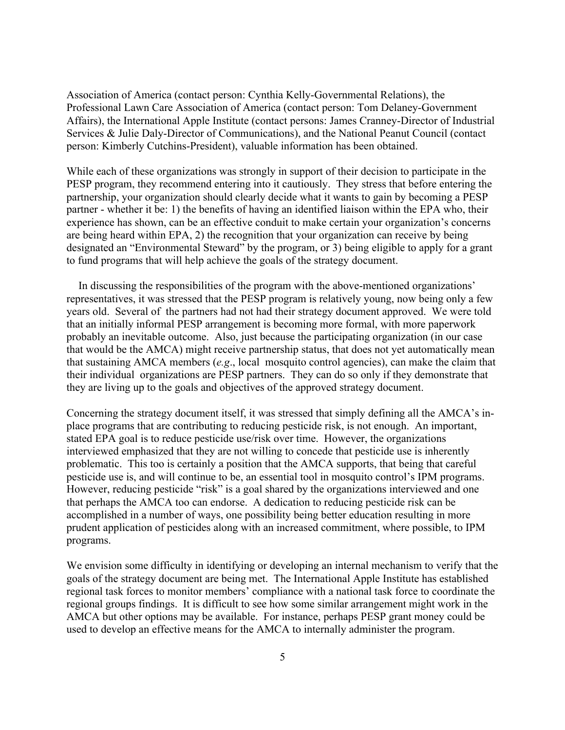Association of America (contact person: Cynthia Kelly-Governmental Relations), the Professional Lawn Care Association of America (contact person: Tom Delaney-Government Affairs), the International Apple Institute (contact persons: James Cranney-Director of Industrial Services & Julie Daly-Director of Communications), and the National Peanut Council (contact person: Kimberly Cutchins-President), valuable information has been obtained.

While each of these organizations was strongly in support of their decision to participate in the PESP program, they recommend entering into it cautiously. They stress that before entering the partnership, your organization should clearly decide what it wants to gain by becoming a PESP partner - whether it be: 1) the benefits of having an identified liaison within the EPA who, their experience has shown, can be an effective conduit to make certain your organization's concerns are being heard within EPA, 2) the recognition that your organization can receive by being designated an "Environmental Steward" by the program, or 3) being eligible to apply for a grant to fund programs that will help achieve the goals of the strategy document.

In discussing the responsibilities of the program with the above-mentioned organizations' representatives, it was stressed that the PESP program is relatively young, now being only a few years old. Several of the partners had not had their strategy document approved. We were told that an initially informal PESP arrangement is becoming more formal, with more paperwork probably an inevitable outcome. Also, just because the participating organization (in our case that would be the AMCA) might receive partnership status, that does not yet automatically mean that sustaining AMCA members (*e.g*., local mosquito control agencies), can make the claim that their individual organizations are PESP partners. They can do so only if they demonstrate that they are living up to the goals and objectives of the approved strategy document.

Concerning the strategy document itself, it was stressed that simply defining all the AMCA's inplace programs that are contributing to reducing pesticide risk, is not enough. An important, stated EPA goal is to reduce pesticide use/risk over time. However, the organizations interviewed emphasized that they are not willing to concede that pesticide use is inherently problematic. This too is certainly a position that the AMCA supports, that being that careful pesticide use is, and will continue to be, an essential tool in mosquito control's IPM programs. However, reducing pesticide "risk" is a goal shared by the organizations interviewed and one that perhaps the AMCA too can endorse. A dedication to reducing pesticide risk can be accomplished in a number of ways, one possibility being better education resulting in more prudent application of pesticides along with an increased commitment, where possible, to IPM programs.

We envision some difficulty in identifying or developing an internal mechanism to verify that the goals of the strategy document are being met. The International Apple Institute has established regional task forces to monitor members' compliance with a national task force to coordinate the regional groups findings. It is difficult to see how some similar arrangement might work in the AMCA but other options may be available. For instance, perhaps PESP grant money could be used to develop an effective means for the AMCA to internally administer the program.